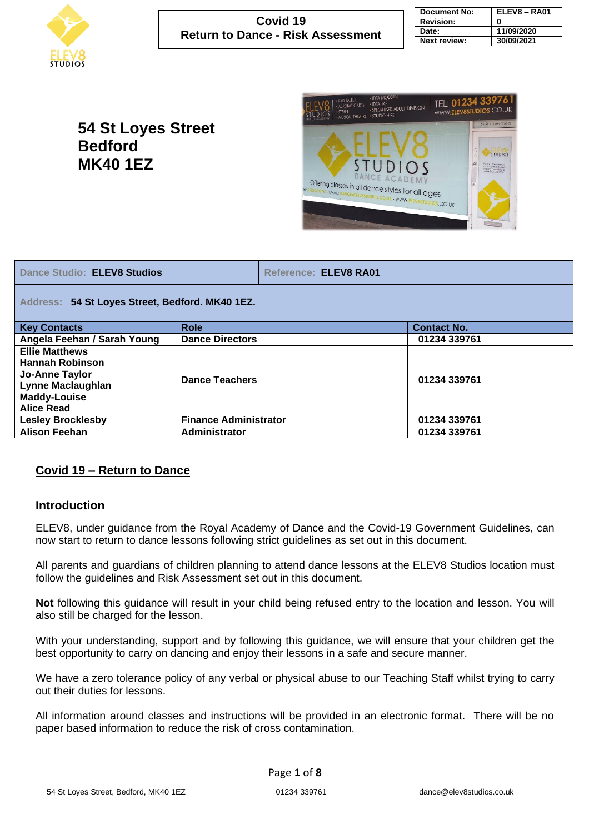

| <b>Document No:</b> | ELEV8 - RA01 |
|---------------------|--------------|
| <b>Revision:</b>    | 0            |
| Date:               | 11/09/2020   |
| <b>Next review:</b> | 30/09/2021   |

# **54 St Loyes Street Bedford MK40 1EZ**



| <b>Dance Studio: ELEV8 Studios</b>                                                                                                        |                              | Reference: ELEV8 RA01 |                    |  |  |  |  |  |
|-------------------------------------------------------------------------------------------------------------------------------------------|------------------------------|-----------------------|--------------------|--|--|--|--|--|
| Address: 54 St Loyes Street, Bedford. MK40 1EZ.                                                                                           |                              |                       |                    |  |  |  |  |  |
| <b>Key Contacts</b>                                                                                                                       | <b>Role</b>                  |                       | <b>Contact No.</b> |  |  |  |  |  |
| Angela Feehan / Sarah Young                                                                                                               | <b>Dance Directors</b>       |                       | 01234 339761       |  |  |  |  |  |
| <b>Ellie Matthews</b><br><b>Hannah Robinson</b><br><b>Jo-Anne Taylor</b><br>Lynne Maclaughlan<br><b>Maddy-Louise</b><br><b>Alice Read</b> | <b>Dance Teachers</b>        |                       | 01234 339761       |  |  |  |  |  |
| <b>Lesley Brocklesby</b>                                                                                                                  | <b>Finance Administrator</b> |                       | 01234 339761       |  |  |  |  |  |
| <b>Alison Feehan</b>                                                                                                                      | Administrator                |                       | 01234 339761       |  |  |  |  |  |

### **Covid 19 – Return to Dance**

#### **Introduction**

ELEV8, under guidance from the Royal Academy of Dance and the Covid-19 Government Guidelines, can now start to return to dance lessons following strict guidelines as set out in this document.

All parents and guardians of children planning to attend dance lessons at the ELEV8 Studios location must follow the guidelines and Risk Assessment set out in this document.

**Not** following this guidance will result in your child being refused entry to the location and lesson. You will also still be charged for the lesson.

With your understanding, support and by following this guidance, we will ensure that your children get the best opportunity to carry on dancing and enjoy their lessons in a safe and secure manner.

We have a zero tolerance policy of any verbal or physical abuse to our Teaching Staff whilst trying to carry out their duties for lessons.

All information around classes and instructions will be provided in an electronic format. There will be no paper based information to reduce the risk of cross contamination.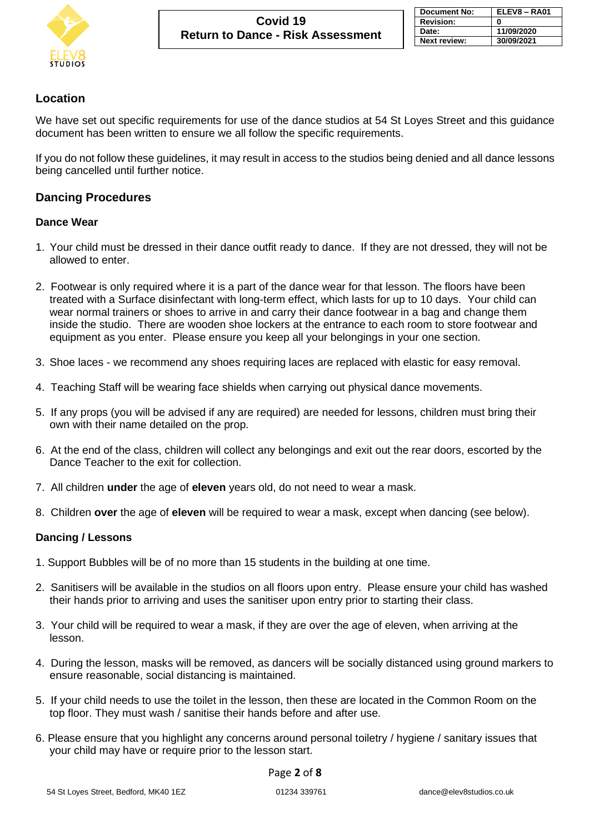

# **Location**

We have set out specific requirements for use of the dance studios at 54 St Loyes Street and this guidance document has been written to ensure we all follow the specific requirements.

If you do not follow these guidelines, it may result in access to the studios being denied and all dance lessons being cancelled until further notice.

#### **Dancing Procedures**

#### **Dance Wear**

- 1. Your child must be dressed in their dance outfit ready to dance. If they are not dressed, they will not be allowed to enter.
- 2. Footwear is only required where it is a part of the dance wear for that lesson. The floors have been treated with a Surface disinfectant with long-term effect, which lasts for up to 10 days. Your child can wear normal trainers or shoes to arrive in and carry their dance footwear in a bag and change them inside the studio. There are wooden shoe lockers at the entrance to each room to store footwear and equipment as you enter. Please ensure you keep all your belongings in your one section.
- 3. Shoe laces we recommend any shoes requiring laces are replaced with elastic for easy removal.
- 4. Teaching Staff will be wearing face shields when carrying out physical dance movements.
- 5. If any props (you will be advised if any are required) are needed for lessons, children must bring their own with their name detailed on the prop.
- 6. At the end of the class, children will collect any belongings and exit out the rear doors, escorted by the Dance Teacher to the exit for collection.
- 7. All children **under** the age of **eleven** years old, do not need to wear a mask.
- 8. Children **over** the age of **eleven** will be required to wear a mask, except when dancing (see below).

#### **Dancing / Lessons**

- 1. Support Bubbles will be of no more than 15 students in the building at one time.
- 2. Sanitisers will be available in the studios on all floors upon entry. Please ensure your child has washed their hands prior to arriving and uses the sanitiser upon entry prior to starting their class.
- 3. Your child will be required to wear a mask, if they are over the age of eleven, when arriving at the lesson.
- 4. During the lesson, masks will be removed, as dancers will be socially distanced using ground markers to ensure reasonable, social distancing is maintained.
- 5. If your child needs to use the toilet in the lesson, then these are located in the Common Room on the top floor. They must wash / sanitise their hands before and after use.
- 6. Please ensure that you highlight any concerns around personal toiletry / hygiene / sanitary issues that your child may have or require prior to the lesson start.

#### Page **2** of **8**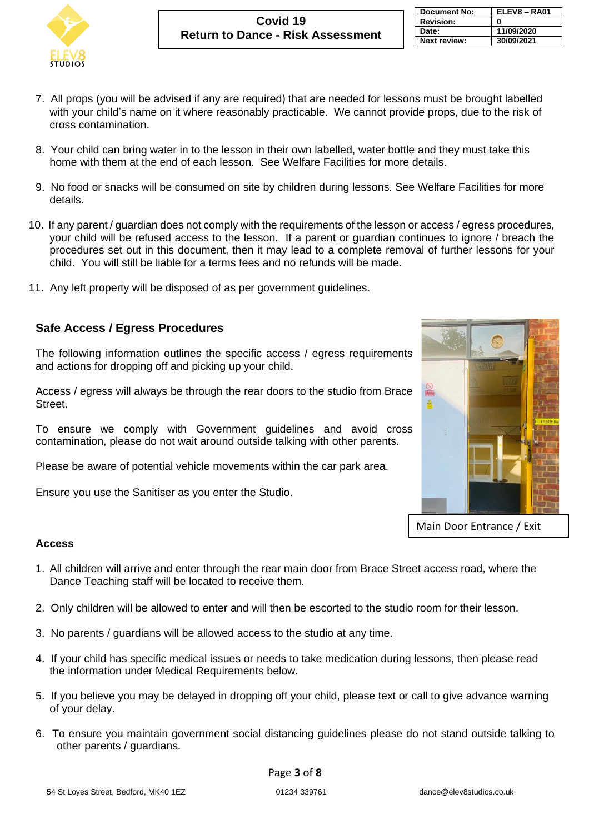

| <b>Document No:</b> | ELEV8-RA01 |
|---------------------|------------|
| <b>Revision:</b>    | 0          |
| Date:               | 11/09/2020 |
| <b>Next review:</b> | 30/09/2021 |

- 7. All props (you will be advised if any are required) that are needed for lessons must be brought labelled with your child's name on it where reasonably practicable. We cannot provide props, due to the risk of cross contamination.
- 8. Your child can bring water in to the lesson in their own labelled, water bottle and they must take this home with them at the end of each lesson. See Welfare Facilities for more details.
- 9. No food or snacks will be consumed on site by children during lessons. See Welfare Facilities for more details.
- 10. If any parent / guardian does not comply with the requirements of the lesson or access / egress procedures, your child will be refused access to the lesson. If a parent or guardian continues to ignore / breach the procedures set out in this document, then it may lead to a complete removal of further lessons for your child. You will still be liable for a terms fees and no refunds will be made.
- 11. Any left property will be disposed of as per government guidelines.

# **Safe Access / Egress Procedures**

The following information outlines the specific access / egress requirements and actions for dropping off and picking up your child.

Access / egress will always be through the rear doors to the studio from Brace Street.

To ensure we comply with Government guidelines and avoid cross contamination, please do not wait around outside talking with other parents.

Please be aware of potential vehicle movements within the car park area.

Ensure you use the Sanitiser as you enter the Studio.



Main Door Entrance / Exit

#### **Access**

- 1. All children will arrive and enter through the rear main door from Brace Street access road, where the Dance Teaching staff will be located to receive them.
- 2. Only children will be allowed to enter and will then be escorted to the studio room for their lesson.
- 3. No parents / guardians will be allowed access to the studio at any time.
- 4. If your child has specific medical issues or needs to take medication during lessons, then please read the information under Medical Requirements below.
- 5. If you believe you may be delayed in dropping off your child, please text or call to give advance warning of your delay.
- 6. To ensure you maintain government social distancing guidelines please do not stand outside talking to other parents / guardians.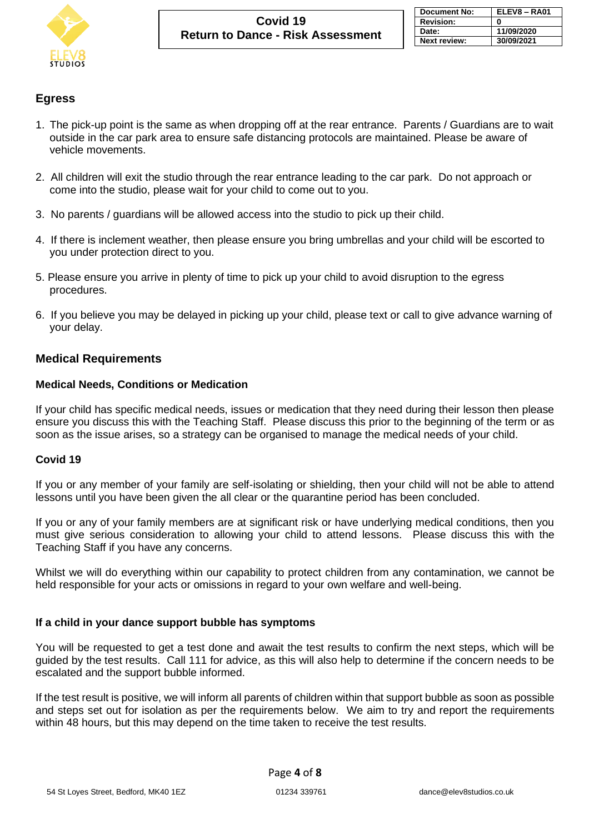

# **Egress**

- 1. The pick-up point is the same as when dropping off at the rear entrance. Parents / Guardians are to wait outside in the car park area to ensure safe distancing protocols are maintained. Please be aware of vehicle movements.
- 2. All children will exit the studio through the rear entrance leading to the car park. Do not approach or come into the studio, please wait for your child to come out to you.
- 3. No parents / guardians will be allowed access into the studio to pick up their child.
- 4. If there is inclement weather, then please ensure you bring umbrellas and your child will be escorted to you under protection direct to you.
- 5. Please ensure you arrive in plenty of time to pick up your child to avoid disruption to the egress procedures.
- 6. If you believe you may be delayed in picking up your child, please text or call to give advance warning of your delay.

# **Medical Requirements**

#### **Medical Needs, Conditions or Medication**

If your child has specific medical needs, issues or medication that they need during their lesson then please ensure you discuss this with the Teaching Staff. Please discuss this prior to the beginning of the term or as soon as the issue arises, so a strategy can be organised to manage the medical needs of your child.

### **Covid 19**

If you or any member of your family are self-isolating or shielding, then your child will not be able to attend lessons until you have been given the all clear or the quarantine period has been concluded.

If you or any of your family members are at significant risk or have underlying medical conditions, then you must give serious consideration to allowing your child to attend lessons. Please discuss this with the Teaching Staff if you have any concerns.

Whilst we will do everything within our capability to protect children from any contamination, we cannot be held responsible for your acts or omissions in regard to your own welfare and well-being.

#### **If a child in your dance support bubble has symptoms**

You will be requested to get a test done and await the test results to confirm the next steps, which will be guided by the test results. Call 111 for advice, as this will also help to determine if the concern needs to be escalated and the support bubble informed.

If the test result is positive, we will inform all parents of children within that support bubble as soon as possible and steps set out for isolation as per the requirements below. We aim to try and report the requirements within 48 hours, but this may depend on the time taken to receive the test results.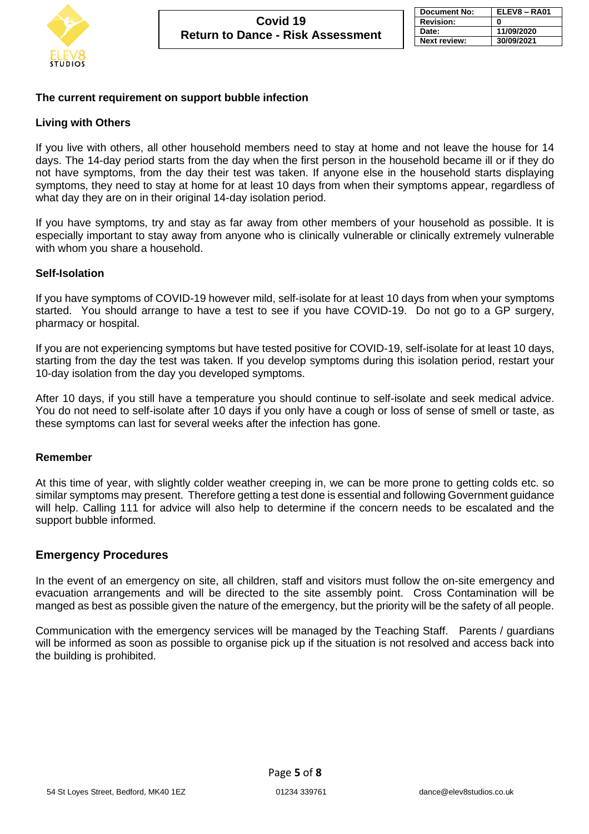

#### **The current requirement on support bubble infection**

#### **Living with Others**

If you live with others, all other household members need to stay at home and not leave the house for 14 days. The 14-day period starts from the day when the first person in the household became ill or if they do not have symptoms, from the day their test was taken. If anyone else in the household starts displaying symptoms, they need to stay at home for at least 10 days from when their symptoms appear, regardless of what day they are on in their original 14-day isolation period.

If you have symptoms, try and stay as far away from other members of your household as possible. It is especially important to stay away from anyone who is clinically vulnerable or clinically extremely vulnerable with whom you share a household.

#### **Self-Isolation**

If you have symptoms of COVID-19 however mild, self-isolate for at least 10 days from when your symptoms started. You should arrange to have a test to see if you have COVID-19. Do not go to a GP surgery, pharmacy or hospital.

If you are not experiencing symptoms but have tested positive for COVID-19, self-isolate for at least 10 days, starting from the day the test was taken. If you develop symptoms during this isolation period, restart your 10-day isolation from the day you developed symptoms.

After 10 days, if you still have a temperature you should continue to self-isolate and seek medical advice. You do not need to self-isolate after 10 days if you only have a cough or loss of sense of smell or taste, as these symptoms can last for several weeks after the infection has gone.

#### **Remember**

At this time of year, with slightly colder weather creeping in, we can be more prone to getting colds etc. so similar symptoms may present. Therefore getting a test done is essential and following Government guidance will help. Calling 111 for advice will also help to determine if the concern needs to be escalated and the support bubble informed.

#### **Emergency Procedures**

In the event of an emergency on site, all children, staff and visitors must follow the on-site emergency and evacuation arrangements and will be directed to the site assembly point. Cross Contamination will be manged as best as possible given the nature of the emergency, but the priority will be the safety of all people.

Communication with the emergency services will be managed by the Teaching Staff. Parents / guardians will be informed as soon as possible to organise pick up if the situation is not resolved and access back into the building is prohibited.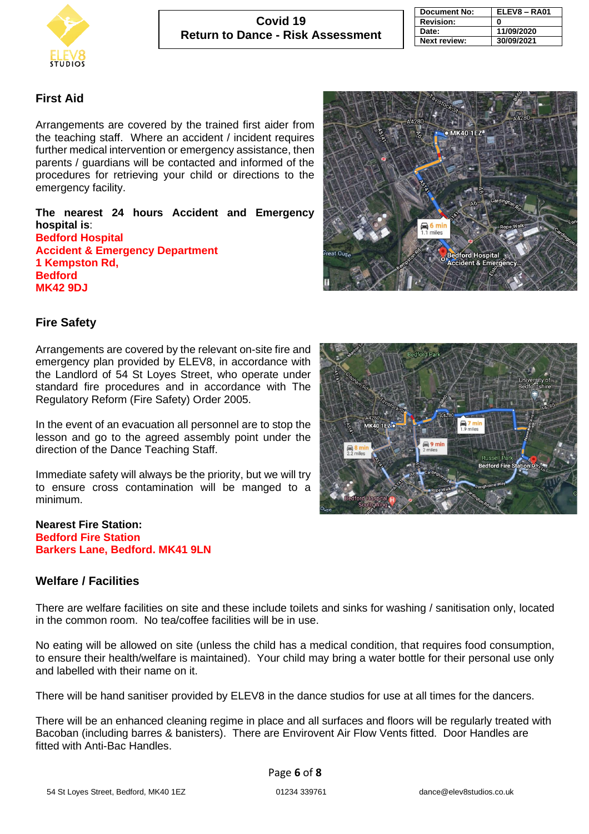

| <b>Document No:</b> | ELEV8 - RA01 |
|---------------------|--------------|
| <b>Revision:</b>    | 0            |
| Date:               | 11/09/2020   |
| <b>Next review:</b> | 30/09/2021   |

#### **First Aid**

Arrangements are covered by the trained first aider from the teaching staff. Where an accident / incident requires further medical intervention or emergency assistance, then parents / guardians will be contacted and informed of the procedures for retrieving your child or directions to the emergency facility.

**The nearest 24 hours Accident and Emergency hospital is**: **Bedford Hospital Accident & Emergency Department 1 Kempston Rd, Bedford MK42 9DJ**



#### **Fire Safety**

Arrangements are covered by the relevant on-site fire and emergency plan provided by ELEV8, in accordance with the Landlord of 54 St Loyes Street, who operate under standard fire procedures and in accordance with The Regulatory Reform (Fire Safety) Order 2005.

In the event of an evacuation all personnel are to stop the lesson and go to the agreed assembly point under the direction of the Dance Teaching Staff.

Immediate safety will always be the priority, but we will try to ensure cross contamination will be manged to a minimum.

#### **Nearest Fire Station: Bedford Fire Station Barkers Lane, Bedford. MK41 9LN**

#### **Welfare / Facilities**

There are welfare facilities on site and these include toilets and sinks for washing / sanitisation only, located in the common room. No tea/coffee facilities will be in use.

No eating will be allowed on site (unless the child has a medical condition, that requires food consumption, to ensure their health/welfare is maintained). Your child may bring a water bottle for their personal use only and labelled with their name on it.

There will be hand sanitiser provided by ELEV8 in the dance studios for use at all times for the dancers.

There will be an enhanced cleaning regime in place and all surfaces and floors will be regularly treated with Bacoban (including barres & banisters). There are Envirovent Air Flow Vents fitted. Door Handles are fitted with Anti-Bac Handles.

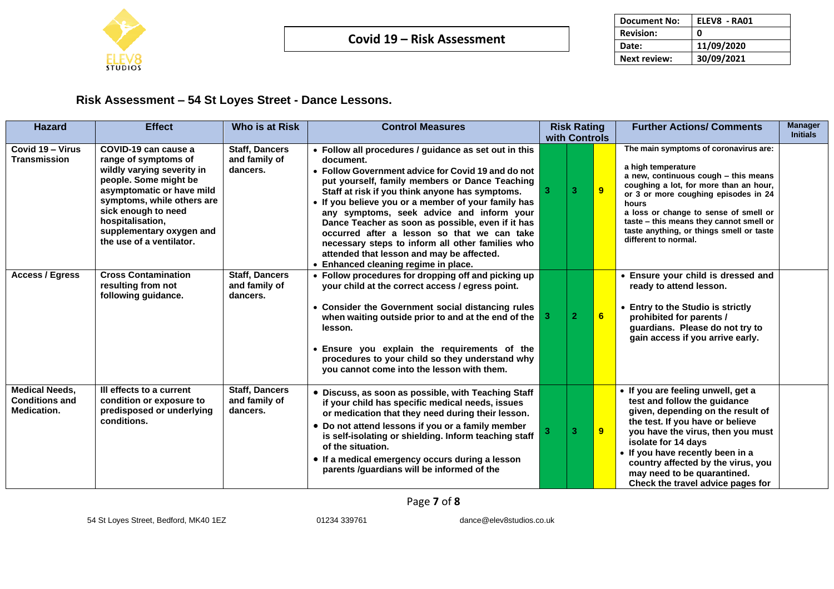

| <b>Document No:</b> | ELEV8 - RA01 |
|---------------------|--------------|
| <b>Revision:</b>    | O            |
| Date:               | 11/09/2020   |
| <b>Next review:</b> | 30/09/2021   |

# **Risk Assessment – 54 St Loyes Street - Dance Lessons.**

| <b>Hazard</b>                                                        | <b>Effect</b>                                                                                                                                                                                                                                                     | <b>Who is at Risk</b>                              | <b>Control Measures</b>                                                                                                                                                                                                                                                                                                                                                                                                                                                                                                                                                    | <b>Risk Rating</b><br>with Controls |              |                | <b>Further Actions/ Comments</b>                                                                                                                                                                                                                                                                                                                       | <b>Manager</b><br><b>Initials</b> |
|----------------------------------------------------------------------|-------------------------------------------------------------------------------------------------------------------------------------------------------------------------------------------------------------------------------------------------------------------|----------------------------------------------------|----------------------------------------------------------------------------------------------------------------------------------------------------------------------------------------------------------------------------------------------------------------------------------------------------------------------------------------------------------------------------------------------------------------------------------------------------------------------------------------------------------------------------------------------------------------------------|-------------------------------------|--------------|----------------|--------------------------------------------------------------------------------------------------------------------------------------------------------------------------------------------------------------------------------------------------------------------------------------------------------------------------------------------------------|-----------------------------------|
| Covid 19 - Virus<br><b>Transmission</b>                              | COVID-19 can cause a<br>range of symptoms of<br>wildly varying severity in<br>people. Some might be<br>asymptomatic or have mild<br>symptoms, while others are<br>sick enough to need<br>hospitalisation,<br>supplementary oxygen and<br>the use of a ventilator. | <b>Staff, Dancers</b><br>and family of<br>dancers. | • Follow all procedures / guidance as set out in this<br>document.<br>• Follow Government advice for Covid 19 and do not<br>put yourself, family members or Dance Teaching<br>Staff at risk if you think anyone has symptoms.<br>If you believe you or a member of your family has<br>any symptoms, seek advice and inform your<br>Dance Teacher as soon as possible, even if it has<br>occurred after a lesson so that we can take<br>necessary steps to inform all other families who<br>attended that lesson and may be affected.<br>Enhanced cleaning regime in place. |                                     | з            | $\overline{9}$ | The main symptoms of coronavirus are:<br>a high temperature<br>a new, continuous cough - this means<br>coughing a lot, for more than an hour,<br>or 3 or more coughing episodes in 24<br>hours<br>a loss or change to sense of smell or<br>taste - this means they cannot smell or<br>taste anything, or things smell or taste<br>different to normal. |                                   |
| <b>Access / Egress</b>                                               | <b>Cross Contamination</b><br>resulting from not<br>following guidance.                                                                                                                                                                                           | <b>Staff, Dancers</b><br>and family of<br>dancers. | • Follow procedures for dropping off and picking up<br>your child at the correct access / egress point.<br>Consider the Government social distancing rules<br>when waiting outside prior to and at the end of the<br>lesson.<br>Ensure you explain the requirements of the<br>procedures to your child so they understand why<br>you cannot come into the lesson with them.                                                                                                                                                                                                |                                     | $\mathbf{2}$ | 6              | • Ensure your child is dressed and<br>ready to attend lesson.<br><b>Entry to the Studio is strictly</b><br>prohibited for parents /<br>guardians. Please do not try to<br>gain access if you arrive early.                                                                                                                                             |                                   |
| <b>Medical Needs.</b><br><b>Conditions and</b><br><b>Medication.</b> | III effects to a current<br>condition or exposure to<br>predisposed or underlying<br>conditions.                                                                                                                                                                  | <b>Staff, Dancers</b><br>and family of<br>dancers. | • Discuss, as soon as possible, with Teaching Staff<br>if your child has specific medical needs, issues<br>or medication that they need during their lesson.<br>Do not attend lessons if you or a family member<br>is self-isolating or shielding. Inform teaching staff<br>of the situation.<br>• If a medical emergency occurs during a lesson<br>parents /guardians will be informed of the                                                                                                                                                                             |                                     | з            | 9              | • If you are feeling unwell, get a<br>test and follow the guidance<br>given, depending on the result of<br>the test. If you have or believe<br>you have the virus, then you must<br>isolate for 14 days<br>• If you have recently been in a<br>country affected by the virus, you<br>may need to be quarantined.<br>Check the travel advice pages for  |                                   |

# Page **7** of **8**

54 St Loyes Street, Bedford, MK40 1EZ 01234 339761 dance@elev8studios.co.uk